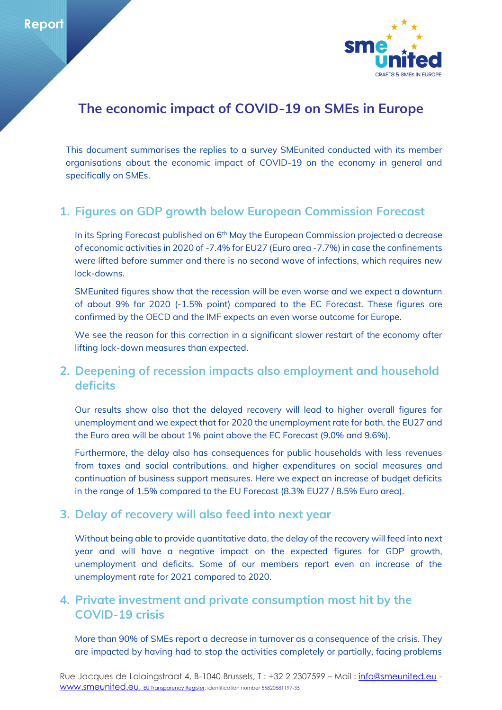

# **The economic impact of COVID-19 on SMEs in Europe**

This document summarises the replies to a survey SMEunited conducted with its member organisations about the economic impact of COVID-19 on the economy in general and specifically on SMEs.

# **1. Figures on GDP growth below European Commission Forecast**

In its Spring Forecast published on 6<sup>th</sup> May the European Commission projected a decrease of economic activities in 2020 of -7.4% for EU27 (Euro area -7.7%) in case the confinements were lifted before summer and there is no second wave of infections, which requires new lock-downs.

SMEunited figures show that the recession will be even worse and we expect a downturn of about 9% for 2020 (-1.5% point) compared to the EC Forecast. These figures are confirmed by the OECD and the IMF expects an even worse outcome for Europe.

We see the reason for this correction in a significant slower restart of the economy after lifting lock-down measures than expected.

### **2. Deepening of recession impacts also employment and household deficits**

Our results show also that the delayed recovery will lead to higher overall figures for unemployment and we expect that for 2020 the unemployment rate for both, the EU27 and the Euro area will be about 1% point above the EC Forecast (9.0% and 9.6%).

Furthermore, the delay also has consequences for public households with less revenues from taxes and social contributions, and higher expenditures on social measures and continuation of business support measures. Here we expect an increase of budget deficits in the range of 1.5% compared to the EU Forecast (8.3% EU27 / 8.5% Euro area).

#### **3. Delay of recovery will also feed into next year**

Without being able to provide quantitative data, the delay of the recovery will feed into next year and will have a negative impact on the expected figures for GDP growth, unemployment and deficits. Some of our members report even an increase of the unemployment rate for 2021 compared to 2020.

### **4. Private investment and private consumption most hit by the COVID-19 crisis**

More than 90% of SMEs report a decrease in turnover as a consequence of the crisis. They are impacted by having had to stop the activities completely or partially, facing problems